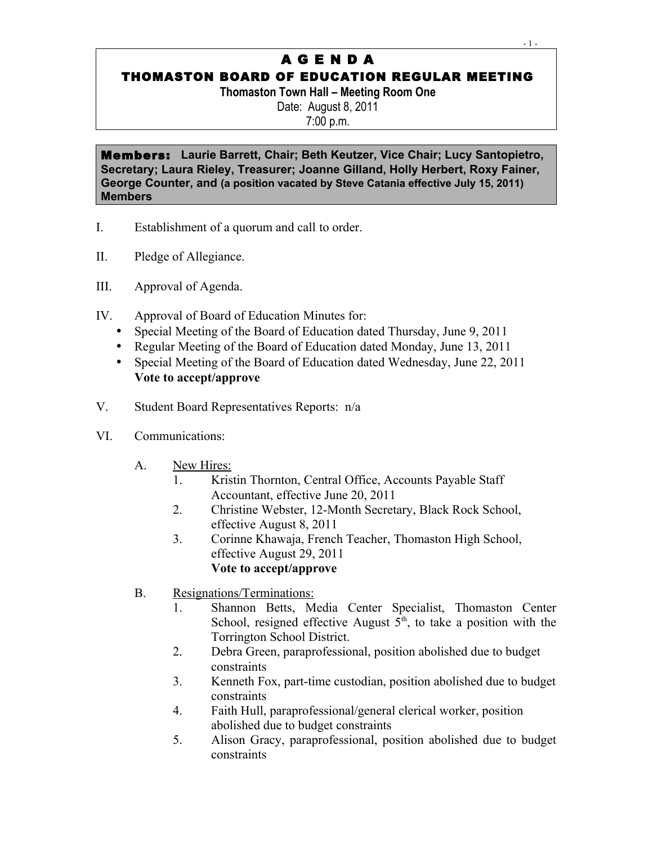# A G E N D A

## THOMASTON BOARD OF EDUCATION REGULAR MEETING

**Thomaston Town Hall – Meeting Room One** Date: August 8, 2011 7:00 p.m.

Members: **Laurie Barrett, Chair; Beth Keutzer, Vice Chair; Lucy Santopietro, Secretary; Laura Rieley, Treasurer; Joanne Gilland, Holly Herbert, Roxy Fainer, George Counter, and (a position vacated by Steve Catania effective July 15, 2011) Members**

- I. Establishment of a quorum and call to order.
- II. Pledge of Allegiance.
- III. Approval of Agenda.
- IV. Approval of Board of Education Minutes for:
	- Special Meeting of the Board of Education dated Thursday, June 9, 2011
	- Regular Meeting of the Board of Education dated Monday, June 13, 2011
	- Special Meeting of the Board of Education dated Wednesday, June 22, 2011 **Vote to accept/approve**
- V. Student Board Representatives Reports: n/a
- VI. Communications:
	- A. New Hires:
		- 1. Kristin Thornton, Central Office, Accounts Payable Staff Accountant, effective June 20, 2011
		- 2. Christine Webster, 12-Month Secretary, Black Rock School, effective August 8, 2011
		- 3. Corinne Khawaja, French Teacher, Thomaston High School, effective August 29, 2011 **Vote to accept/approve**
	- B. Resignations/Terminations:
		- 1. Shannon Betts, Media Center Specialist, Thomaston Center School, resigned effective August  $5<sup>th</sup>$ , to take a position with the Torrington School District.
		- 2. Debra Green, paraprofessional, position abolished due to budget constraints
		- 3. Kenneth Fox, part-time custodian, position abolished due to budget constraints
		- 4. Faith Hull, paraprofessional/general clerical worker, position abolished due to budget constraints
		- 5. Alison Gracy, paraprofessional, position abolished due to budget constraints

- 1 -  $1 -$  1 -  $1 -$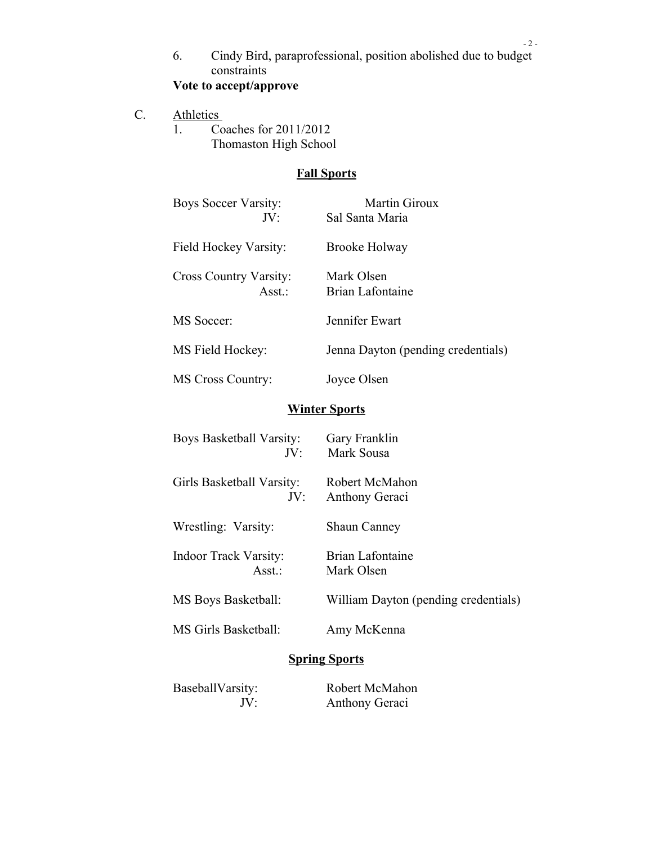6. Cindy Bird, paraprofessional, position abolished due to budget constraints

- 2 -

## **Vote to accept/approve**

- C. Athletics
	- 1. Coaches for 2011/2012 Thomaston High School

## **Fall Sports**

| Boys Soccer Varsity:<br>JV <sup>2</sup> | <b>Martin Giroux</b><br>Sal Santa Maria |
|-----------------------------------------|-----------------------------------------|
| Field Hockey Varsity:                   | Brooke Holway                           |
| <b>Cross Country Varsity:</b><br>Asst.: | Mark Olsen<br>Brian Lafontaine          |
| MS Soccer:                              | Jennifer Ewart                          |
| MS Field Hockey:                        | Jenna Dayton (pending credentials)      |
| <b>MS Cross Country:</b>                | Joyce Olsen                             |

### **Winter Sports**

| Boys Basketball Varsity:<br>JV:        | Gary Franklin<br>Mark Sousa             |  |
|----------------------------------------|-----------------------------------------|--|
| Girls Basketball Varsity:<br>JV:       | Robert McMahon<br><b>Anthony Geraci</b> |  |
| Wrestling: Varsity:                    | <b>Shaun Canney</b>                     |  |
| <b>Indoor Track Varsity:</b><br>Asst.: | Brian Lafontaine<br>Mark Olsen          |  |
| MS Boys Basketball:                    | William Dayton (pending credentials)    |  |
| MS Girls Basketball:                   | Amy McKenna                             |  |
| <b>Spring Sports</b>                   |                                         |  |
| BaseballVarsity:<br>JV:                | Robert McMahon<br>Anthony Geraci        |  |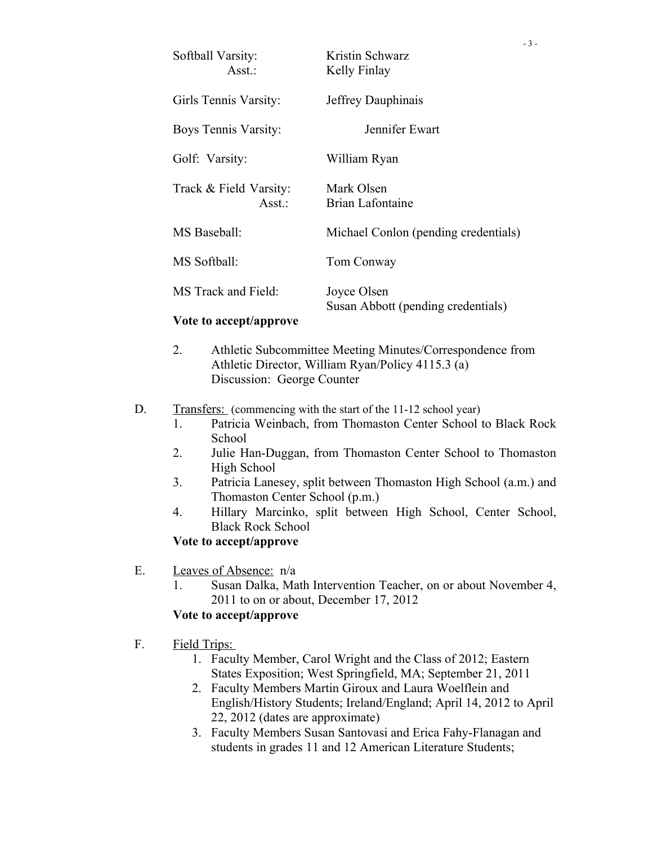| Softball Varsity:<br>$\text{Asst}$ .: | Kristin Schwarz<br>Kelly Finlay                   | $-3-$ |
|---------------------------------------|---------------------------------------------------|-------|
| Girls Tennis Varsity:                 | Jeffrey Dauphinais                                |       |
| Boys Tennis Varsity:                  | Jennifer Ewart                                    |       |
| Golf: Varsity:                        | William Ryan                                      |       |
| Track & Field Varsity:<br>Asst.:      | Mark Olsen<br><b>Brian Lafontaine</b>             |       |
| MS Baseball:                          | Michael Conlon (pending credentials)              |       |
| MS Softball:                          | Tom Conway                                        |       |
| MS Track and Field:                   | Joyce Olsen<br>Susan Abbott (pending credentials) |       |

#### **Vote to accept/approve**

- 2. Athletic Subcommittee Meeting Minutes/Correspondence from Athletic Director, William Ryan/Policy 4115.3 (a) Discussion: George Counter
- D. Transfers: (commencing with the start of the 11-12 school year)
	- 1. Patricia Weinbach, from Thomaston Center School to Black Rock School
	- 2. Julie Han-Duggan, from Thomaston Center School to Thomaston High School
	- 3. Patricia Lanesey, split between Thomaston High School (a.m.) and Thomaston Center School (p.m.)
	- 4. Hillary Marcinko, split between High School, Center School, Black Rock School

#### **Vote to accept/approve**

- E. Leaves of Absence: n/a
	- 1. Susan Dalka, Math Intervention Teacher, on or about November 4, 2011 to on or about, December 17, 2012

#### **Vote to accept/approve**

- F. Field Trips:
	- 1. Faculty Member, Carol Wright and the Class of 2012; Eastern States Exposition; West Springfield, MA; September 21, 2011
	- 2. Faculty Members Martin Giroux and Laura Woelflein and English/History Students; Ireland/England; April 14, 2012 to April 22, 2012 (dates are approximate)
	- 3. Faculty Members Susan Santovasi and Erica Fahy-Flanagan and students in grades 11 and 12 American Literature Students;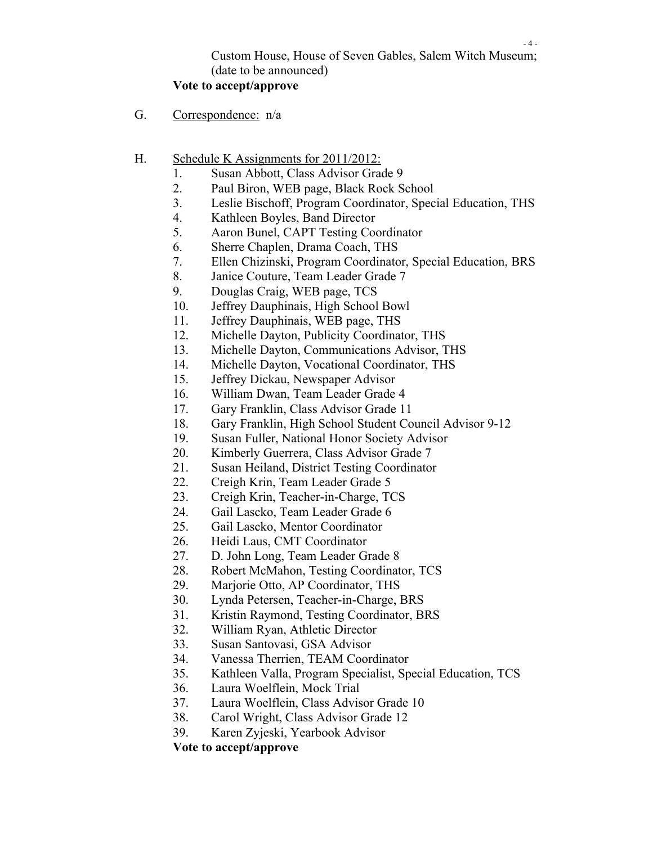## Custom House, House of Seven Gables, Salem Witch Museum; (date to be announced)

### **Vote to accept/approve**

- G. Correspondence: n/a
- H. Schedule K Assignments for 2011/2012:
	- 1. Susan Abbott, Class Advisor Grade 9
	- 2. Paul Biron, WEB page, Black Rock School
	- 3. Leslie Bischoff, Program Coordinator, Special Education, THS
	- 4. Kathleen Boyles, Band Director
	- 5. Aaron Bunel, CAPT Testing Coordinator
	- 6. Sherre Chaplen, Drama Coach, THS
	- 7. Ellen Chizinski, Program Coordinator, Special Education, BRS
	- 8. Janice Couture, Team Leader Grade 7
	- 9. Douglas Craig, WEB page, TCS
	- 10. Jeffrey Dauphinais, High School Bowl
	- 11. Jeffrey Dauphinais, WEB page, THS
	- 12. Michelle Dayton, Publicity Coordinator, THS
	- 13. Michelle Dayton, Communications Advisor, THS
	- 14. Michelle Dayton, Vocational Coordinator, THS
	- 15. Jeffrey Dickau, Newspaper Advisor
	- 16. William Dwan, Team Leader Grade 4
	- 17. Gary Franklin, Class Advisor Grade 11
	- 18. Gary Franklin, High School Student Council Advisor 9-12
	- 19. Susan Fuller, National Honor Society Advisor
	- 20. Kimberly Guerrera, Class Advisor Grade 7
	- 21. Susan Heiland, District Testing Coordinator
	- 22. Creigh Krin, Team Leader Grade 5
	- 23. Creigh Krin, Teacher-in-Charge, TCS
	- 24. Gail Lascko, Team Leader Grade 6
	- 25. Gail Lascko, Mentor Coordinator
	- 26. Heidi Laus, CMT Coordinator
	- 27. D. John Long, Team Leader Grade 8
	- 28. Robert McMahon, Testing Coordinator, TCS
	- 29. Marjorie Otto, AP Coordinator, THS
	- 30. Lynda Petersen, Teacher-in-Charge, BRS
	- 31. Kristin Raymond, Testing Coordinator, BRS
	- 32. William Ryan, Athletic Director
	- 33. Susan Santovasi, GSA Advisor
	- 34. Vanessa Therrien, TEAM Coordinator
	- 35. Kathleen Valla, Program Specialist, Special Education, TCS
	- 36. Laura Woelflein, Mock Trial
	- 37. Laura Woelflein, Class Advisor Grade 10
	- 38. Carol Wright, Class Advisor Grade 12
	- 39. Karen Zyjeski, Yearbook Advisor

**Vote to accept/approve**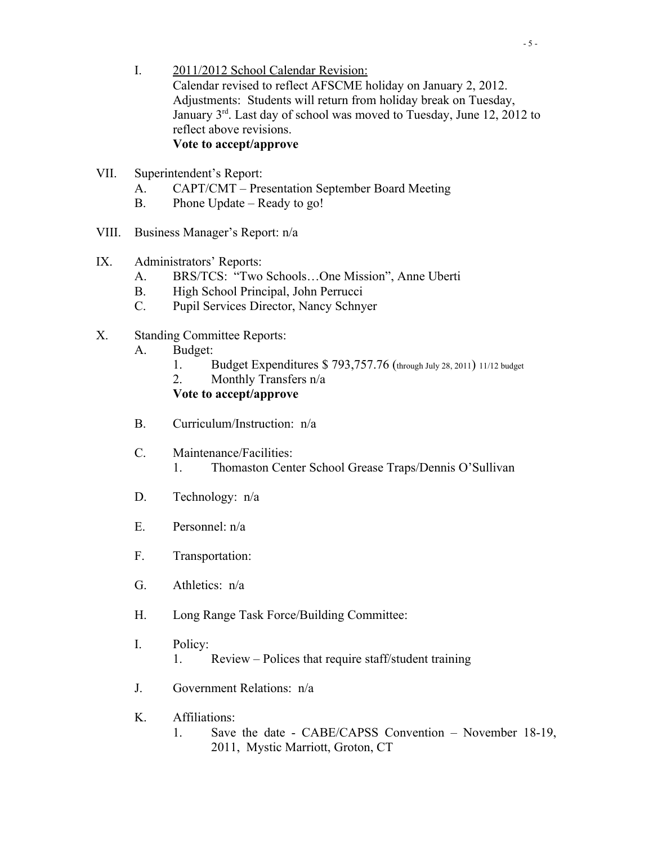- I. 2011/2012 School Calendar Revision: Calendar revised to reflect AFSCME holiday on January 2, 2012. Adjustments: Students will return from holiday break on Tuesday, January  $3<sup>rd</sup>$ . Last day of school was moved to Tuesday, June 12, 2012 to reflect above revisions. **Vote to accept/approve**
- VII. Superintendent's Report:
	- A. CAPT/CMT Presentation September Board Meeting
	- B. Phone Update Ready to go!
- VIII. Business Manager's Report: n/a
- IX. Administrators' Reports:
	- A. BRS/TCS: "Two Schools…One Mission", Anne Uberti
	- B. High School Principal, John Perrucci
	- C. Pupil Services Director, Nancy Schnyer
- X. Standing Committee Reports:
	- A. Budget:
		- 1. Budget Expenditures \$ 793,757.76 (through July 28, 2011) 11/12 budget
		- 2. Monthly Transfers n/a

### **Vote to accept/approve**

- B. Curriculum/Instruction: n/a
- C. Maintenance/Facilities:
	- 1. Thomaston Center School Grease Traps/Dennis O'Sullivan
- D. Technology: n/a
- E. Personnel: n/a
- F. Transportation:
- G. Athletics: n/a
- H. Long Range Task Force/Building Committee:
- I. Policy:
	- 1. Review Polices that require staff/student training
- J. Government Relations: n/a
- K. Affiliations:
	- 1. Save the date CABE/CAPSS Convention November 18-19, 2011, Mystic Marriott, Groton, CT